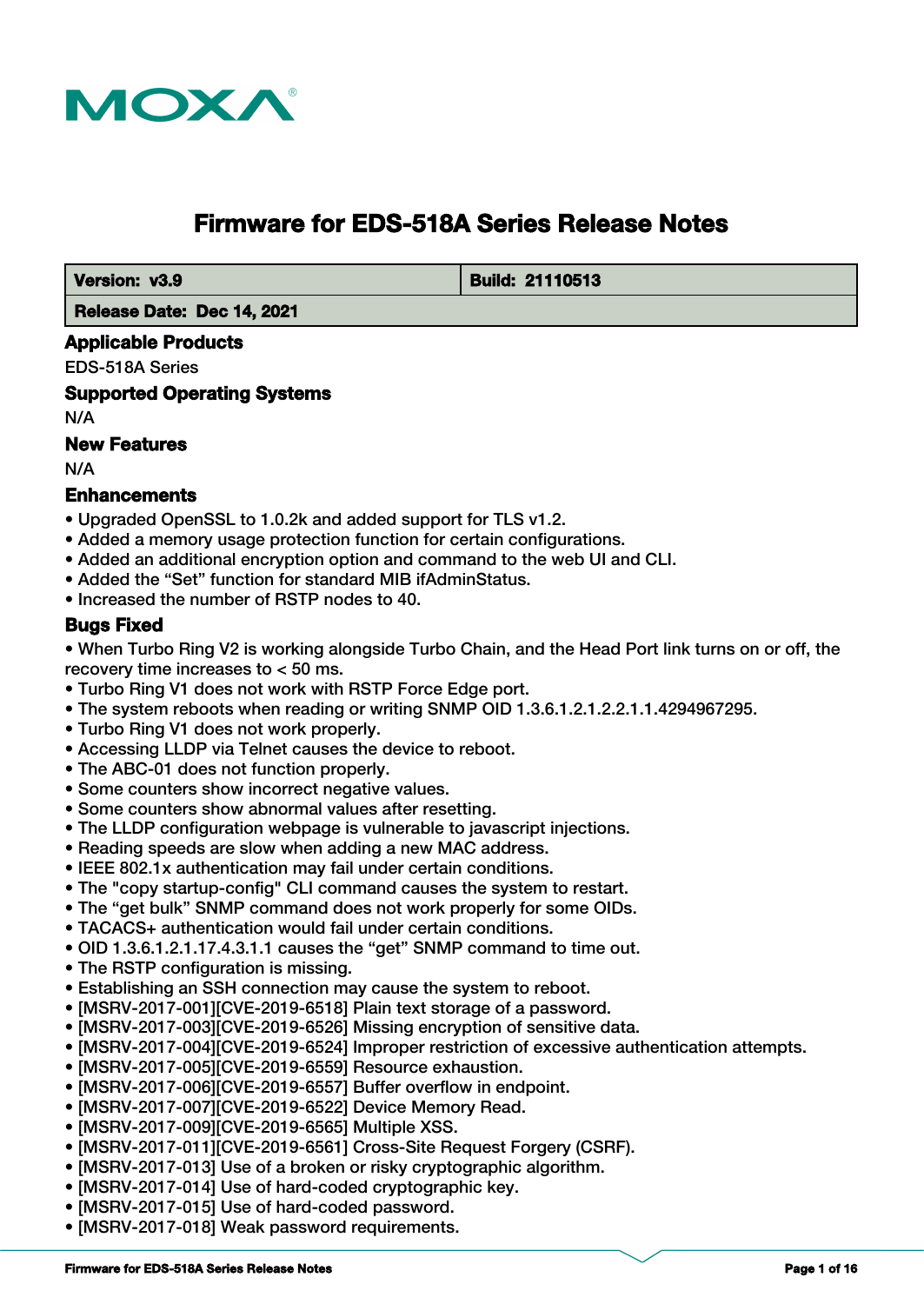

# **Firmware for EDS-518A Series Release Notes**

 **Version: v3.9 Build: 21110513** 

 **Release Date: Dec 14, 2021**

#### **Applicable Products**

EDS-518A Series

**Supported Operating Systems**

N/A

## **New Features**

N/A

#### **Enhancements**

- Upgraded OpenSSL to 1.0.2k and added support for TLS v1.2.
- Added a memory usage protection function for certain configurations.
- Added an additional encryption option and command to the web UI and CLI.
- Added the "Set" function for standard MIB ifAdminStatus.
- Increased the number of RSTP nodes to 40.

#### **Bugs Fixed**

• When Turbo Ring V2 is working alongside Turbo Chain, and the Head Port link turns on or off, the recovery time increases to < 50 ms.

- Turbo Ring V1 does not work with RSTP Force Edge port.
- The system reboots when reading or writing SNMP OID 1.3.6.1.2.1.2.2.1.1.4294967295.
- Turbo Ring V1 does not work properly.
- Accessing LLDP via Telnet causes the device to reboot.
- The ABC-01 does not function properly.
- Some counters show incorrect negative values.
- Some counters show abnormal values after resetting.
- The LLDP configuration webpage is vulnerable to javascript injections.
- Reading speeds are slow when adding a new MAC address.
- IEEE 802.1x authentication may fail under certain conditions.
- The "copy startup-config" CLI command causes the system to restart.
- The "get bulk" SNMP command does not work properly for some OIDs.
- TACACS+ authentication would fail under certain conditions.
- OID 1.3.6.1.2.1.17.4.3.1.1 causes the "get" SNMP command to time out.
- The RSTP configuration is missing.
- Establishing an SSH connection may cause the system to reboot.
- [MSRV-2017-001][CVE-2019-6518] Plain text storage of a password.
- [MSRV-2017-003][CVE-2019-6526] Missing encryption of sensitive data.
- [MSRV-2017-004][CVE-2019-6524] Improper restriction of excessive authentication attempts.
- [MSRV-2017-005][CVE-2019-6559] Resource exhaustion.
- [MSRV-2017-006][CVE-2019-6557] Buffer overflow in endpoint.
- [MSRV-2017-007][CVE-2019-6522] Device Memory Read.
- [MSRV-2017-009][CVE-2019-6565] Multiple XSS.
- [MSRV-2017-011][CVE-2019-6561] Cross-Site Request Forgery (CSRF).
- [MSRV-2017-013] Use of a broken or risky cryptographic algorithm.
- [MSRV-2017-014] Use of hard-coded cryptographic key.
- [MSRV-2017-015] Use of hard-coded password.
- [MSRV-2017-018] Weak password requirements.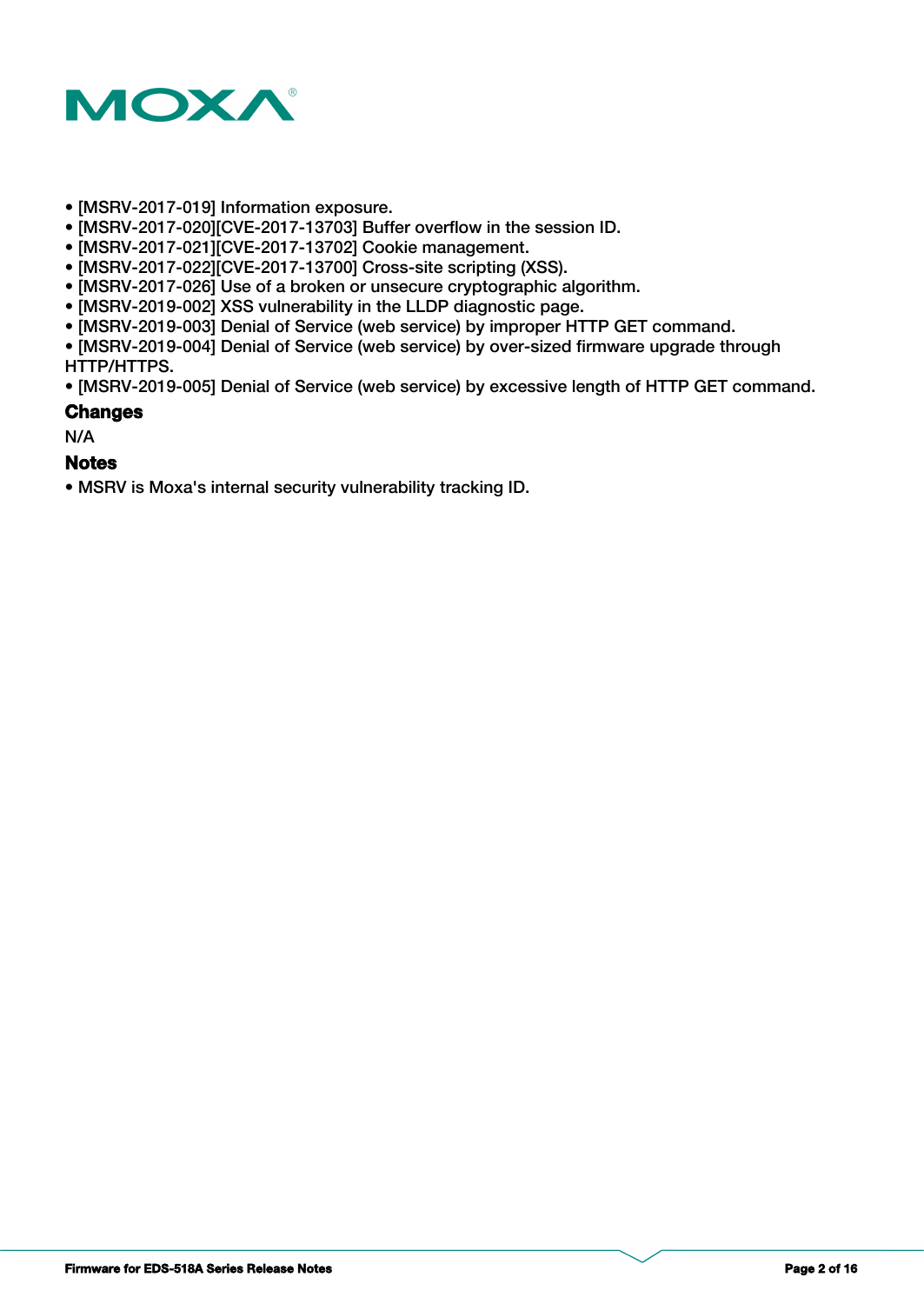

- [MSRV-2017-019] Information exposure.
- [MSRV-2017-020][CVE-2017-13703] Buffer overflow in the session ID.
- [MSRV-2017-021][CVE-2017-13702] Cookie management.
- [MSRV-2017-022][CVE-2017-13700] Cross-site scripting (XSS).
- [MSRV-2017-026] Use of a broken or unsecure cryptographic algorithm.
- [MSRV-2019-002] XSS vulnerability in the LLDP diagnostic page.
- [MSRV-2019-003] Denial of Service (web service) by improper HTTP GET command.

• [MSRV-2019-004] Denial of Service (web service) by over-sized firmware upgrade through HTTP/HTTPS.

• [MSRV-2019-005] Denial of Service (web service) by excessive length of HTTP GET command.

#### **Changes**

N/A

#### **Notes**

• MSRV is Moxa's internal security vulnerability tracking ID.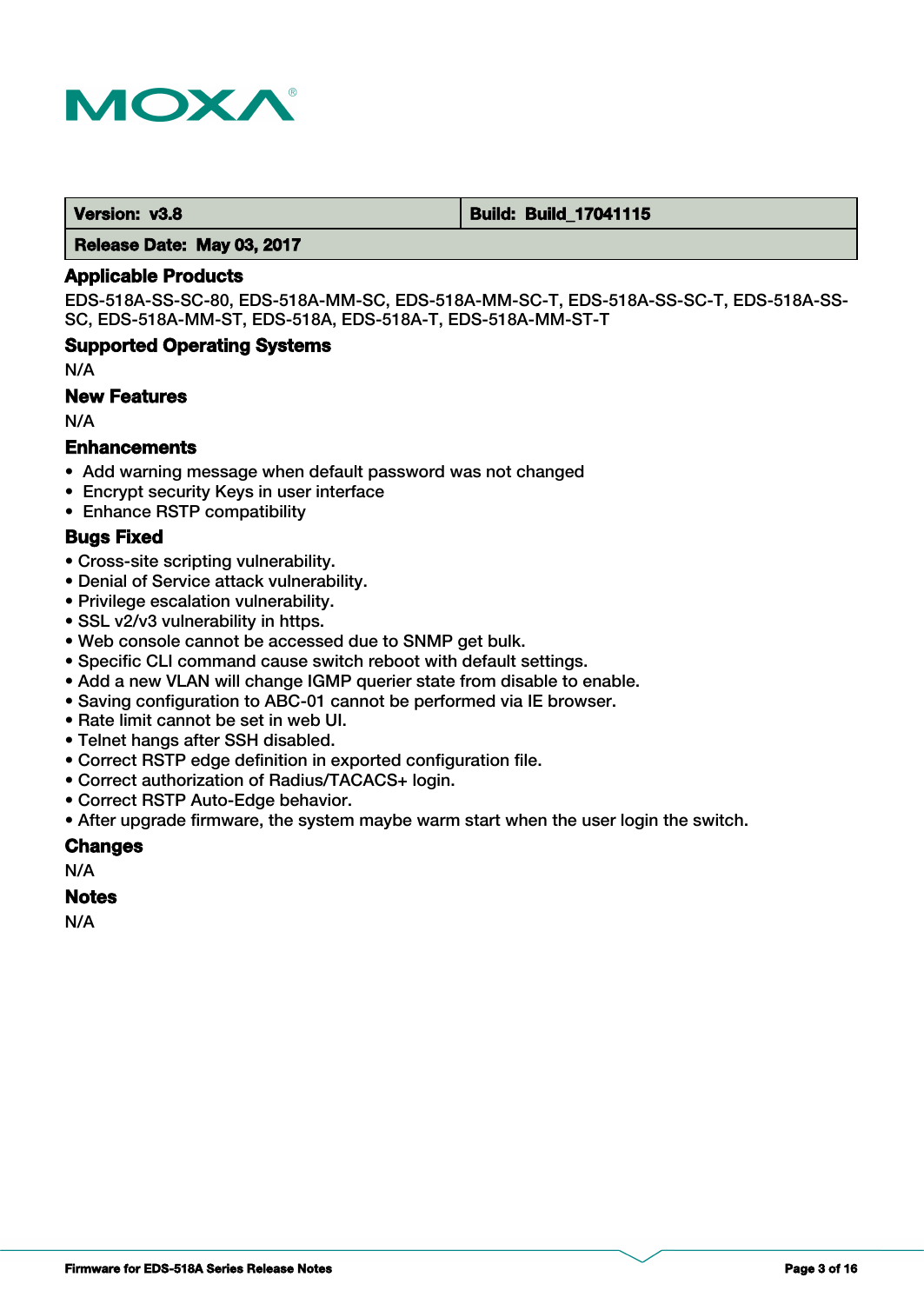

 **Version: v3.8 Build: Build: Build: Build: 17041115** 

 **Release Date: May 03, 2017**

#### **Applicable Products**

EDS-518A-SS-SC-80, EDS-518A-MM-SC, EDS-518A-MM-SC-T, EDS-518A-SS-SC-T, EDS-518A-SS-SC, EDS-518A-MM-ST, EDS-518A, EDS-518A-T, EDS-518A-MM-ST-T

#### **Supported Operating Systems**

N/A

#### **New Features**

N/A

#### **Enhancements**

- Add warning message when default password was not changed
- Encrypt security Keys in user interface
- Enhance RSTP compatibility

#### **Bugs Fixed**

- Cross-site scripting vulnerability.
- Denial of Service attack vulnerability.
- Privilege escalation vulnerability.
- SSL v2/v3 vulnerability in https.
- Web console cannot be accessed due to SNMP get bulk.
- Specific CLI command cause switch reboot with default settings.
- Add a new VLAN will change IGMP querier state from disable to enable.
- Saving configuration to ABC-01 cannot be performed via IE browser.
- Rate limit cannot be set in web UI.
- Telnet hangs after SSH disabled.
- Correct RSTP edge definition in exported configuration file.
- Correct authorization of Radius/TACACS+ login.
- Correct RSTP Auto-Edge behavior.
- After upgrade firmware, the system maybe warm start when the user login the switch.

#### **Changes**

N/A

#### **Notes**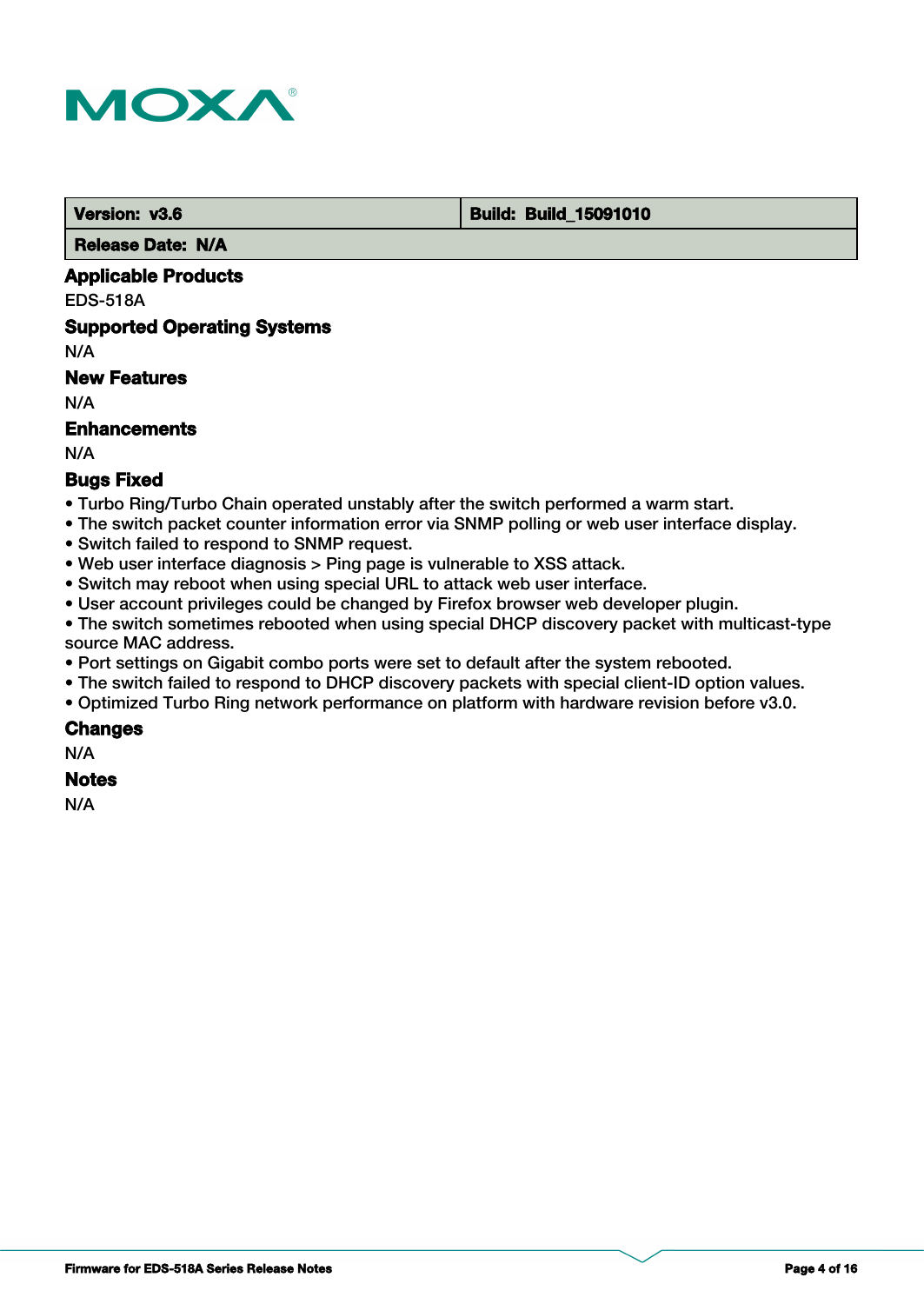

 **Version: v3.6 Build: Build: Build: Build: 15091010** 

 **Release Date: N/A**

## **Applicable Products**

EDS-518A

#### **Supported Operating Systems**

N/A

## **New Features**

N/A

#### **Enhancements**

N/A

## **Bugs Fixed**

- Turbo Ring/Turbo Chain operated unstably after the switch performed a warm start.
- The switch packet counter information error via SNMP polling or web user interface display.
- Switch failed to respond to SNMP request.
- Web user interface diagnosis > Ping page is vulnerable to XSS attack.
- Switch may reboot when using special URL to attack web user interface.
- User account privileges could be changed by Firefox browser web developer plugin.
- The switch sometimes rebooted when using special DHCP discovery packet with multicast-type source MAC address.
- Port settings on Gigabit combo ports were set to default after the system rebooted.
- The switch failed to respond to DHCP discovery packets with special client-ID option values.
- Optimized Turbo Ring network performance on platform with hardware revision before v3.0.

#### **Changes**

N/A

#### **Notes**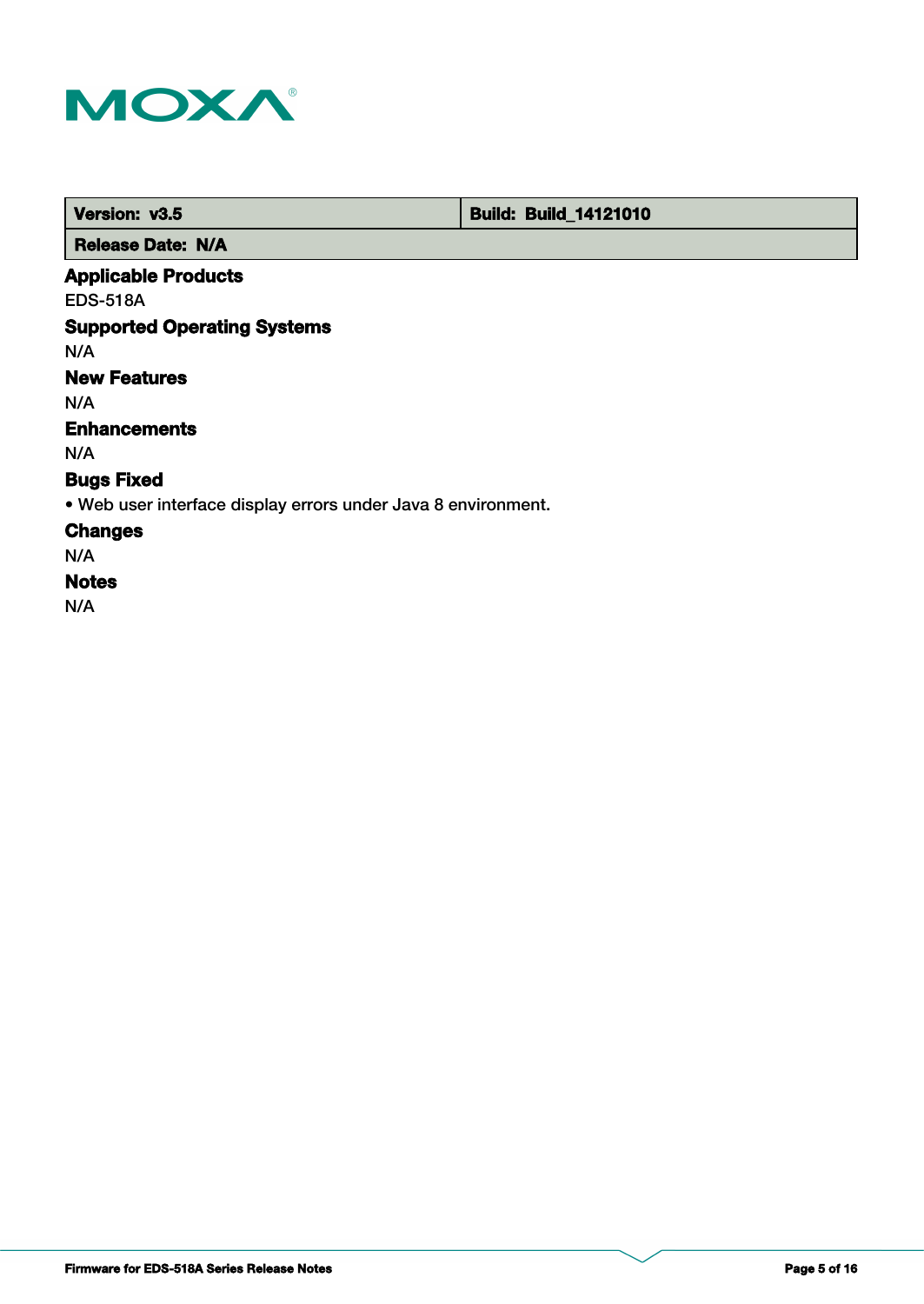

 **Version: v3.5 Build: Build: Build: 14121010** 

 **Release Date: N/A**

## **Applicable Products**

EDS-518A

## **Supported Operating Systems**

N/A

## **New Features**

N/A

## **Enhancements**

N/A

## **Bugs Fixed**

• Web user interface display errors under Java 8 environment.

### **Changes**

N/A

## **Notes**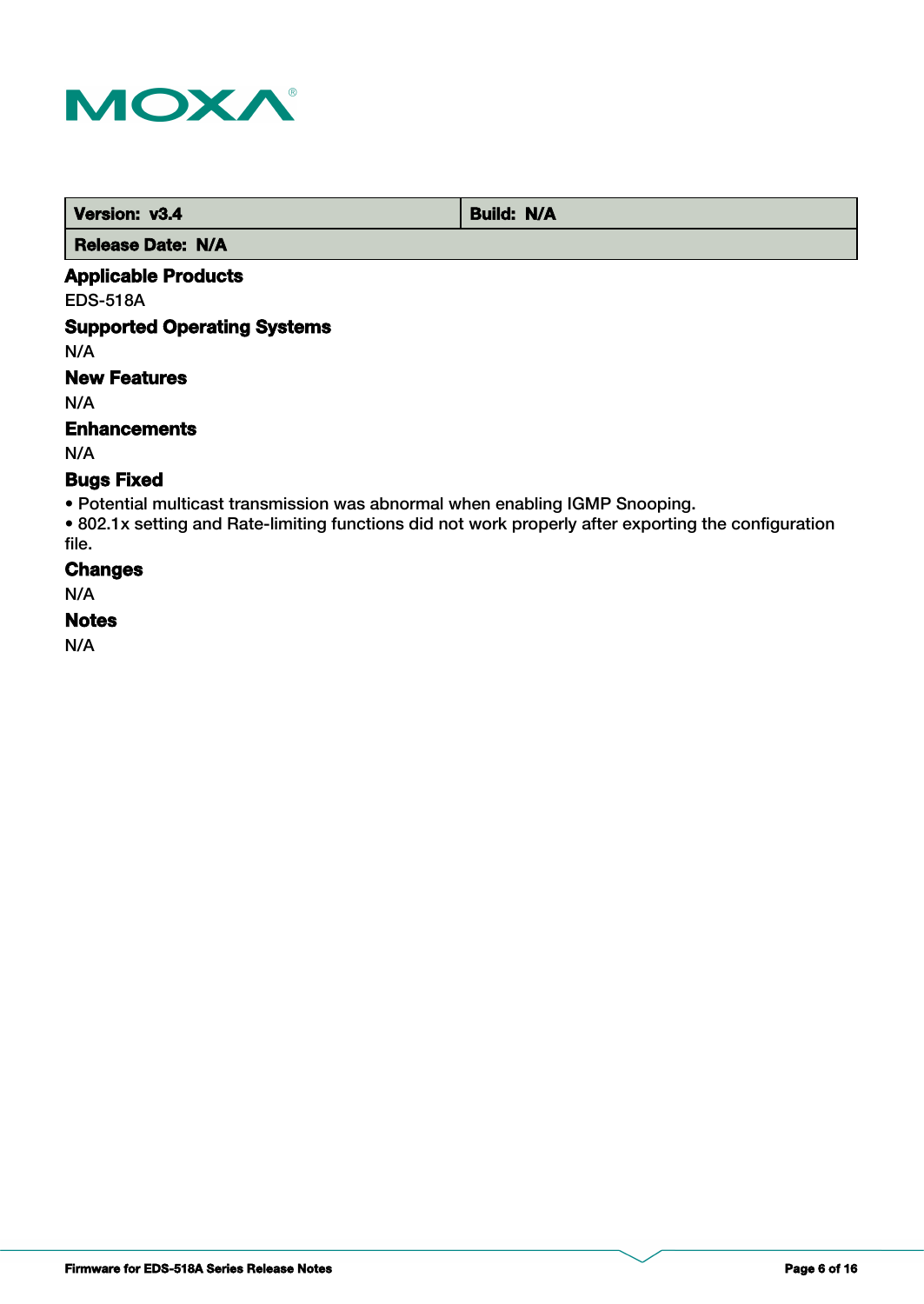

| Version: v3.4            | <b>Build: N/A</b> |
|--------------------------|-------------------|
| <b>Release Date: N/A</b> |                   |

# **Applicable Products**

EDS-518A

## **Supported Operating Systems**

N/A

## **New Features**

N/A

#### **Enhancements**

N/A

#### **Bugs Fixed**

• Potential multicast transmission was abnormal when enabling IGMP Snooping.

• 802.1x setting and Rate-limiting functions did not work properly after exporting the configuration file.

## **Changes**

N/A

### **Notes**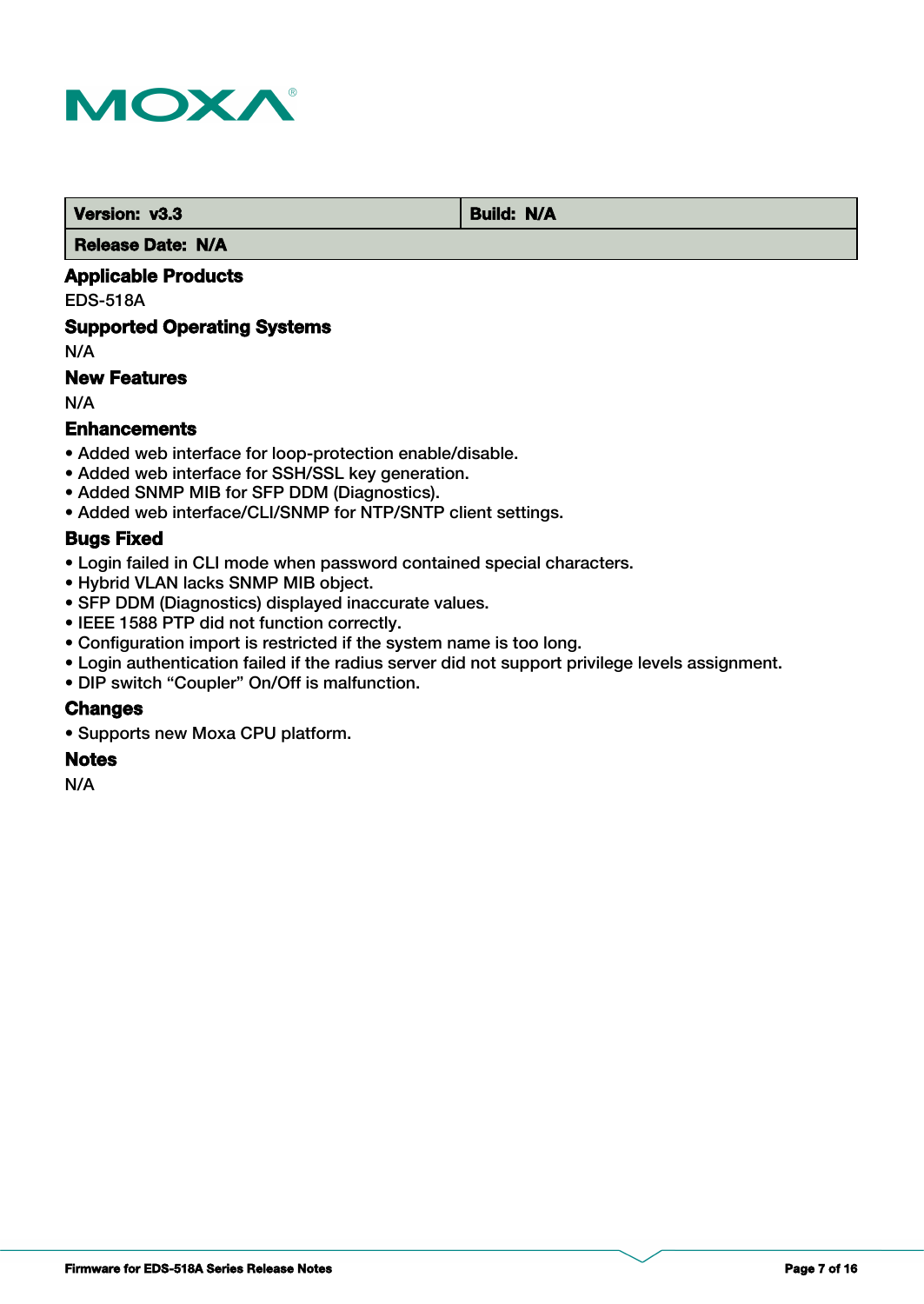

**Version: v3.3 Build: N/A** 

 **Release Date: N/A**

## **Applicable Products**

EDS-518A

### **Supported Operating Systems**

N/A

## **New Features**

N/A

## **Enhancements**

- Added web interface for loop-protection enable/disable.
- Added web interface for SSH/SSL key generation.
- Added SNMP MIB for SFP DDM (Diagnostics).
- Added web interface/CLI/SNMP for NTP/SNTP client settings.

### **Bugs Fixed**

- Login failed in CLI mode when password contained special characters.
- Hybrid VLAN lacks SNMP MIB object.
- SFP DDM (Diagnostics) displayed inaccurate values.
- IEEE 1588 PTP did not function correctly.
- Configuration import is restricted if the system name is too long.
- Login authentication failed if the radius server did not support privilege levels assignment.
- DIP switch "Coupler" On/Off is malfunction.

#### **Changes**

• Supports new Moxa CPU platform.

#### **Notes**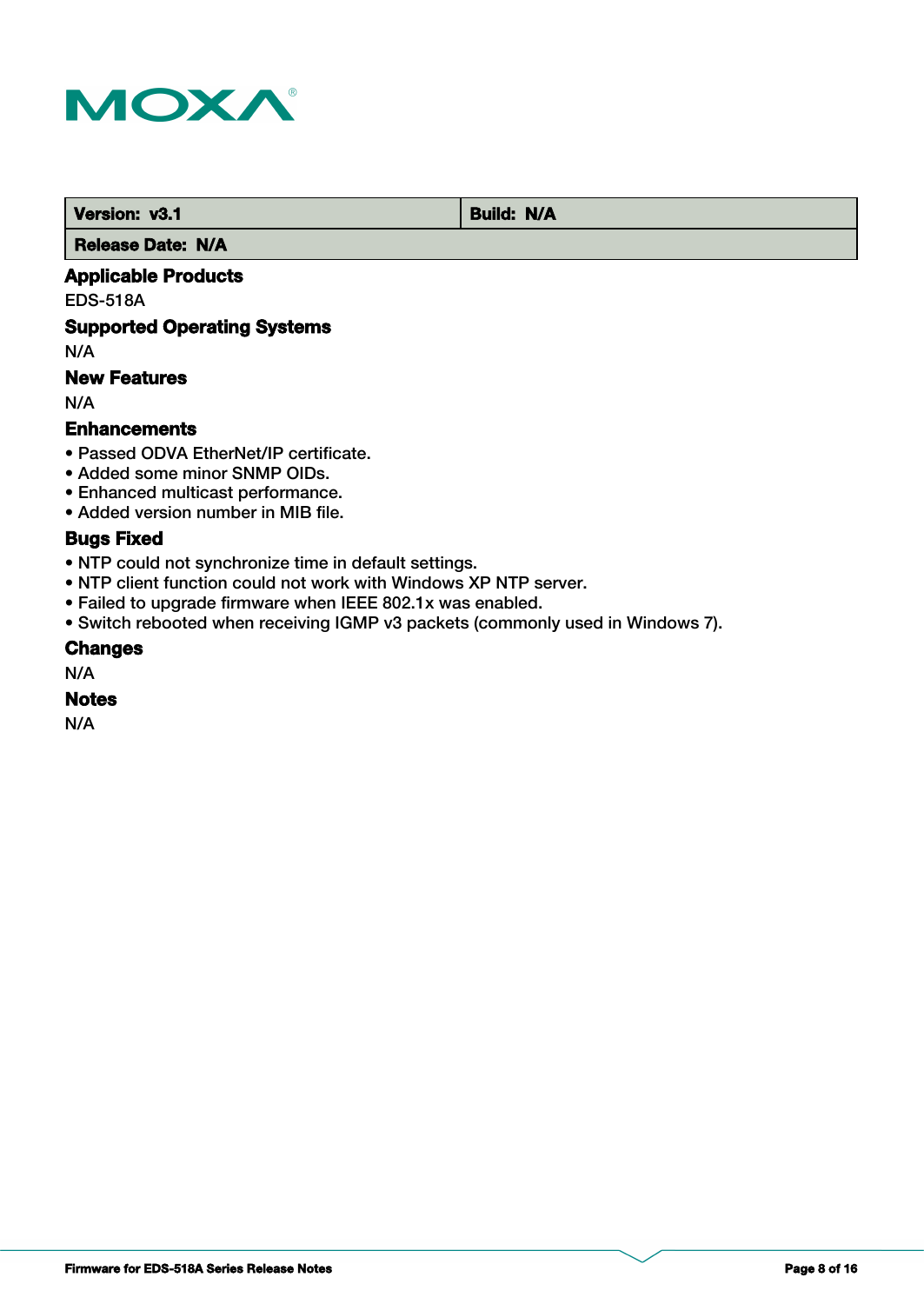

*Version: v3.1* **Build: N/A** 

 **Release Date: N/A**

## **Applicable Products**

EDS-518A

## **Supported Operating Systems**

N/A

## **New Features**

N/A

#### **Enhancements**

- Passed ODVA EtherNet/IP certificate.
- Added some minor SNMP OIDs.
- Enhanced multicast performance.
- Added version number in MIB file.

## **Bugs Fixed**

- NTP could not synchronize time in default settings.
- NTP client function could not work with Windows XP NTP server.
- Failed to upgrade firmware when IEEE 802.1x was enabled.
- Switch rebooted when receiving IGMP v3 packets (commonly used in Windows 7).

#### **Changes**

N/A

#### **Notes**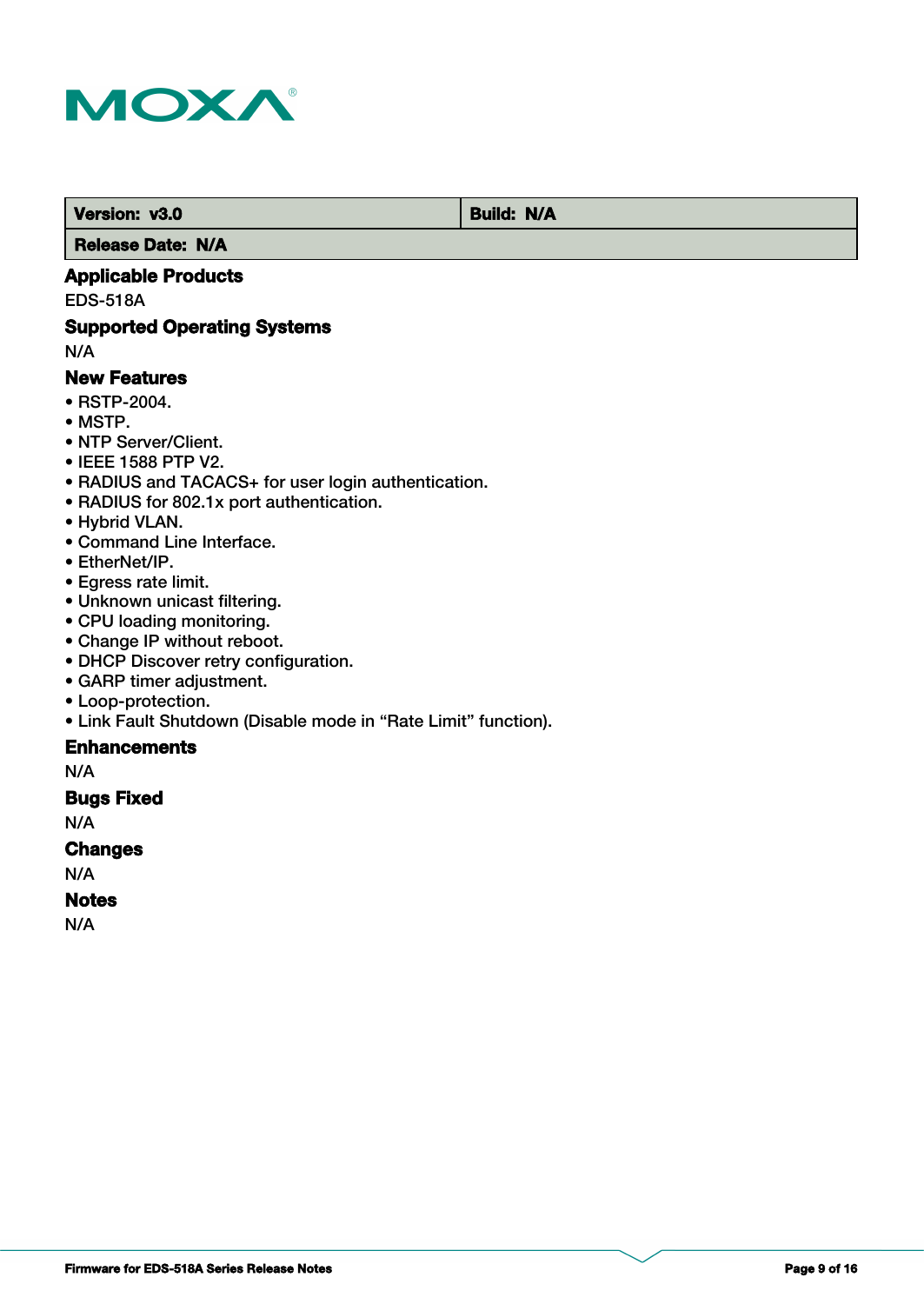

 **Version: v3.0 Build: N/A** 

 **Release Date: N/A**

## **Applicable Products**

EDS-518A

## **Supported Operating Systems**

N/A

#### **New Features**

- RSTP-2004.
- MSTP.
- NTP Server/Client.
- IEEE 1588 PTP V2.
- RADIUS and TACACS+ for user login authentication.
- RADIUS for 802.1x port authentication.
- Hybrid VLAN.
- Command Line Interface.
- EtherNet/IP.
- Egress rate limit.
- Unknown unicast filtering.
- CPU loading monitoring.
- Change IP without reboot.
- DHCP Discover retry configuration.
- GARP timer adjustment.
- Loop-protection.
- Link Fault Shutdown (Disable mode in "Rate Limit" function).

## **Enhancements**

N/A

## **Bugs Fixed**

N/A

#### **Changes**

N/A

## **Notes**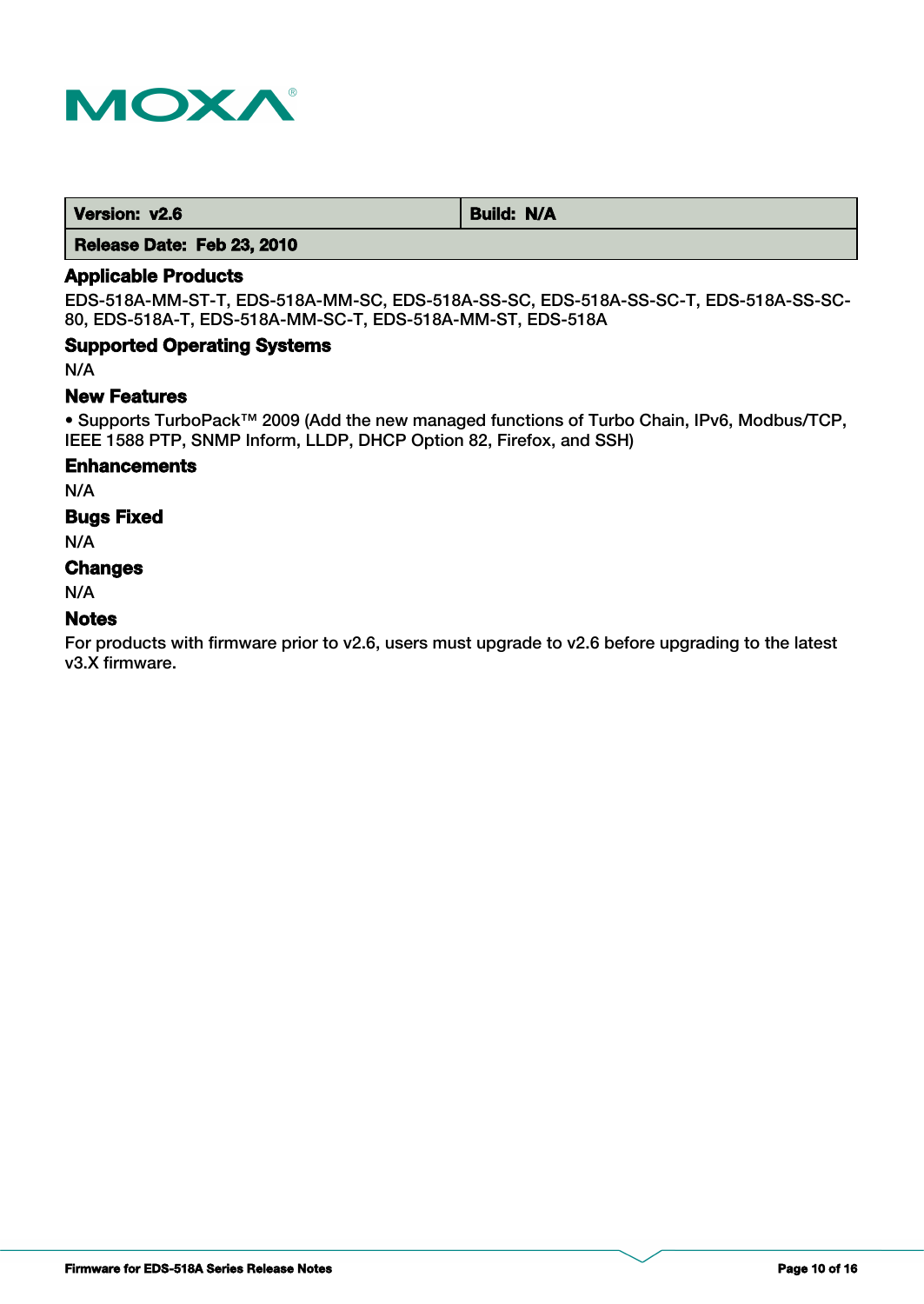

**Version: v2.6** Build: N/A

 **Release Date: Feb 23, 2010**

## **Applicable Products**

EDS-518A-MM-ST-T, EDS-518A-MM-SC, EDS-518A-SS-SC, EDS-518A-SS-SC-T, EDS-518A-SS-SC-80, EDS-518A-T, EDS-518A-MM-SC-T, EDS-518A-MM-ST, EDS-518A

### **Supported Operating Systems**

N/A

#### **New Features**

• Supports TurboPack™ 2009 (Add the new managed functions of Turbo Chain, IPv6, Modbus/TCP, IEEE 1588 PTP, SNMP Inform, LLDP, DHCP Option 82, Firefox, and SSH)

#### **Enhancements**

N/A

#### **Bugs Fixed**

N/A

## **Changes**

N/A

#### **Notes**

For products with firmware prior to v2.6, users must upgrade to v2.6 before upgrading to the latest v3.X firmware.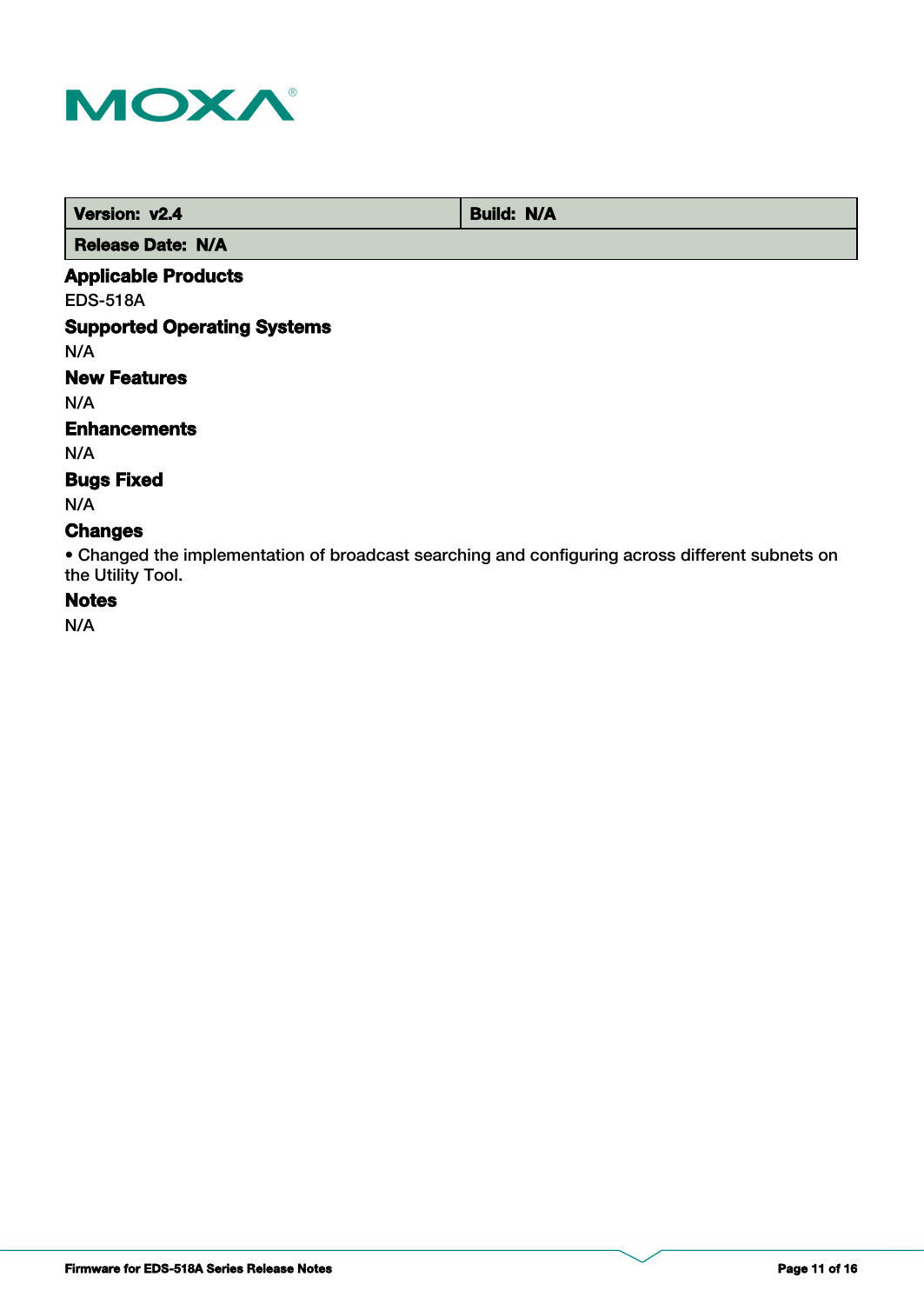

| Version: v2.4            | <b>Build: N/A</b> |
|--------------------------|-------------------|
| <b>Release Date: N/A</b> |                   |

## **Applicable Products**

EDS-518A

## **Supported Operating Systems**

N/A

## **New Features**

N/A

#### **Enhancements**

N/A

### **Bugs Fixed**

N/A

## **Changes**

• Changed the implementation of broadcast searching and configuring across different subnets on the Utility Tool.

# **Notes**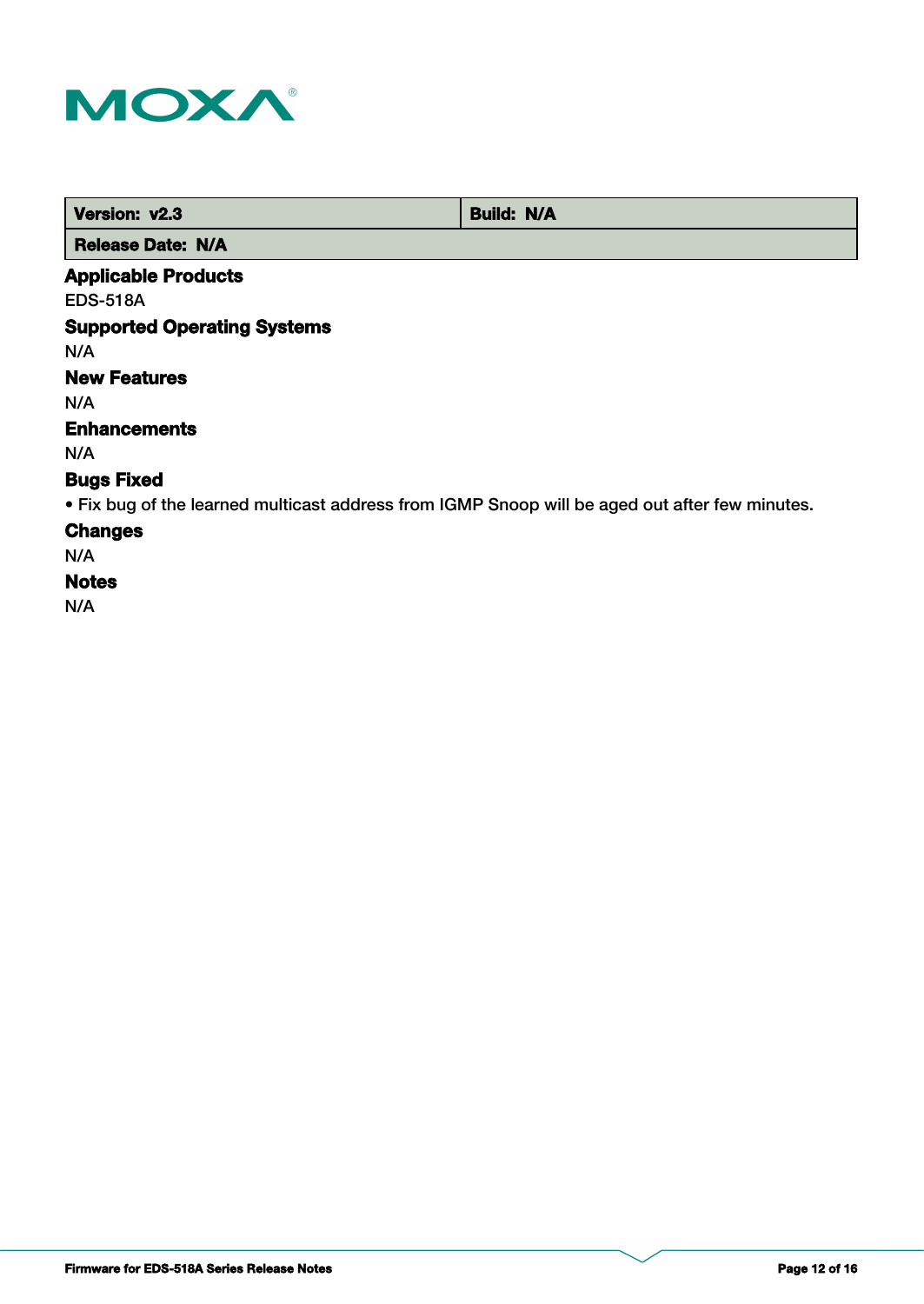

| Version: v2.3              | <b>Build: N/A</b> |
|----------------------------|-------------------|
| <b>Release Date: N/A</b>   |                   |
| <b>Applicable Products</b> |                   |

EDS-518A

## **Supported Operating Systems**

N/A

## **New Features**

N/A

## **Enhancements**

N/A

## **Bugs Fixed**

• Fix bug of the learned multicast address from IGMP Snoop will be aged out after few minutes.

## **Changes**

N/A

## **Notes**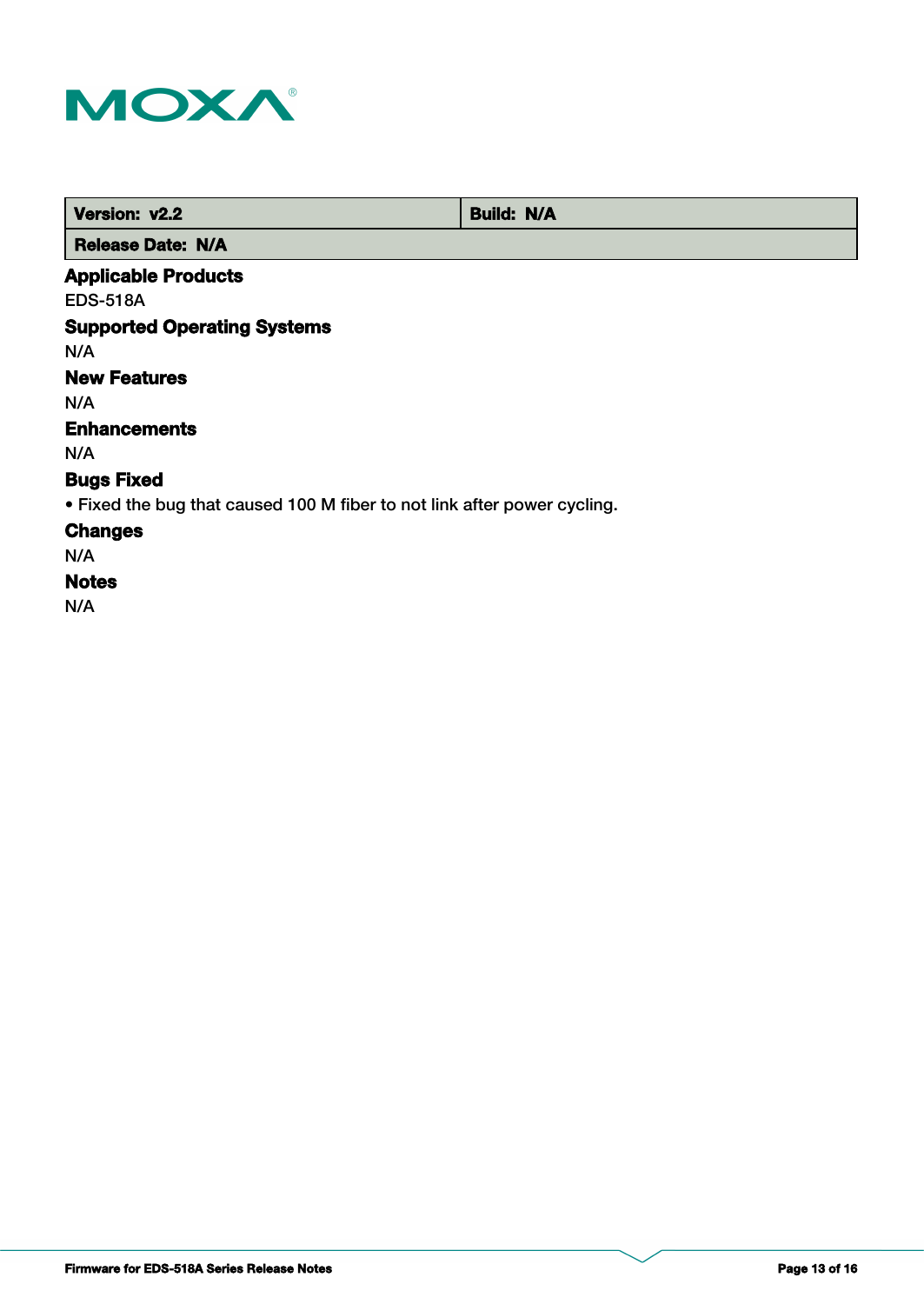

| Version: v2.2              | <b>Build: N/A</b> |
|----------------------------|-------------------|
| <b>Release Date: N/A</b>   |                   |
| <b>Applicable Products</b> |                   |

EDS-518A

## **Supported Operating Systems**

N/A

## **New Features**

N/A

## **Enhancements**

N/A

## **Bugs Fixed**

• Fixed the bug that caused 100 M fiber to not link after power cycling.

## **Changes**

N/A

## **Notes**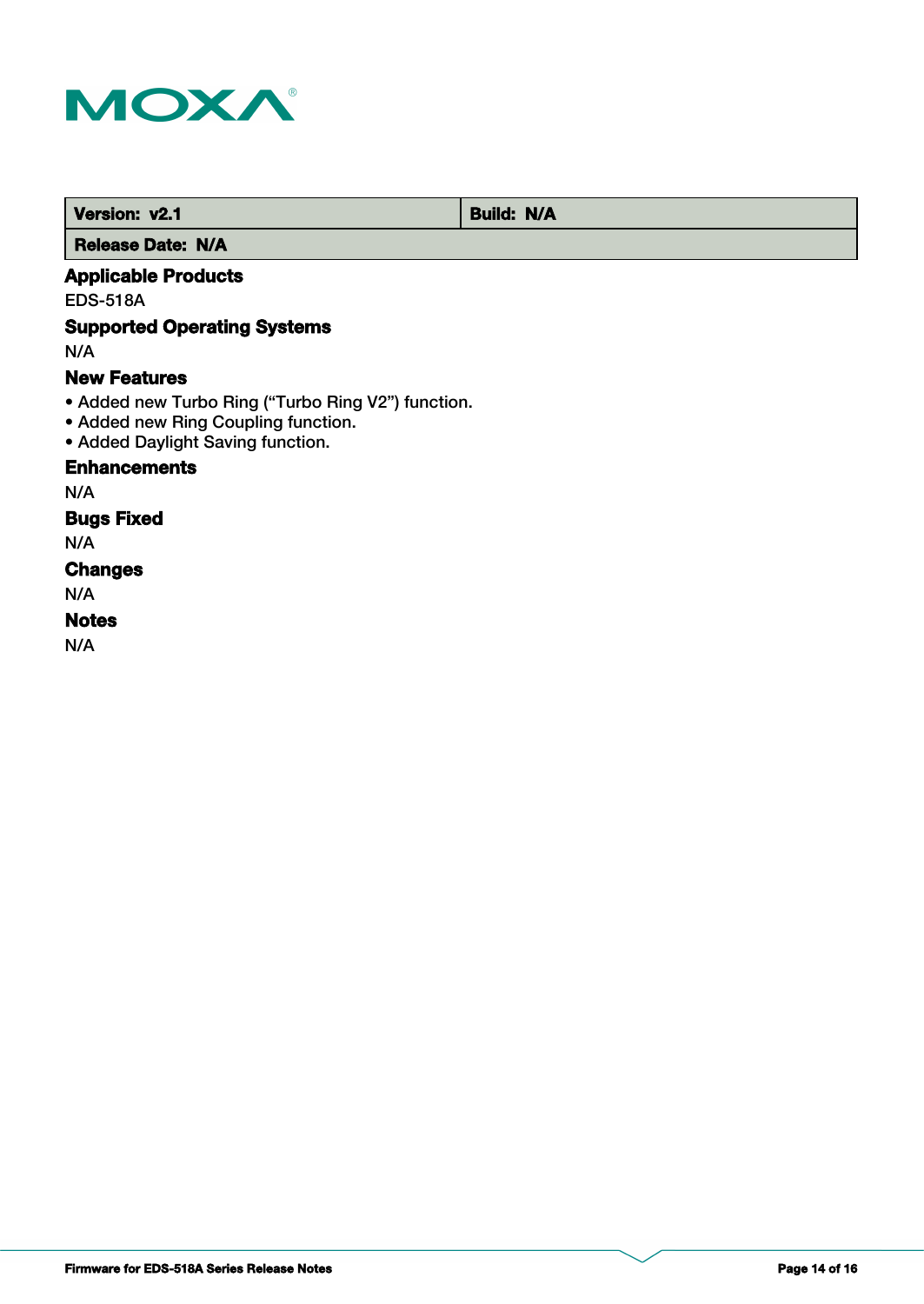

 **Version: v2.1 Build: N/A** 

 **Release Date: N/A**

## **Applicable Products**

EDS-518A

## **Supported Operating Systems**

N/A

#### **New Features**

- Added new Turbo Ring ("Turbo Ring V2") function.
- Added new Ring Coupling function.
- Added Daylight Saving function.

## **Enhancements**

N/A

## **Bugs Fixed**

N/A

# **Changes**

N/A

## **Notes**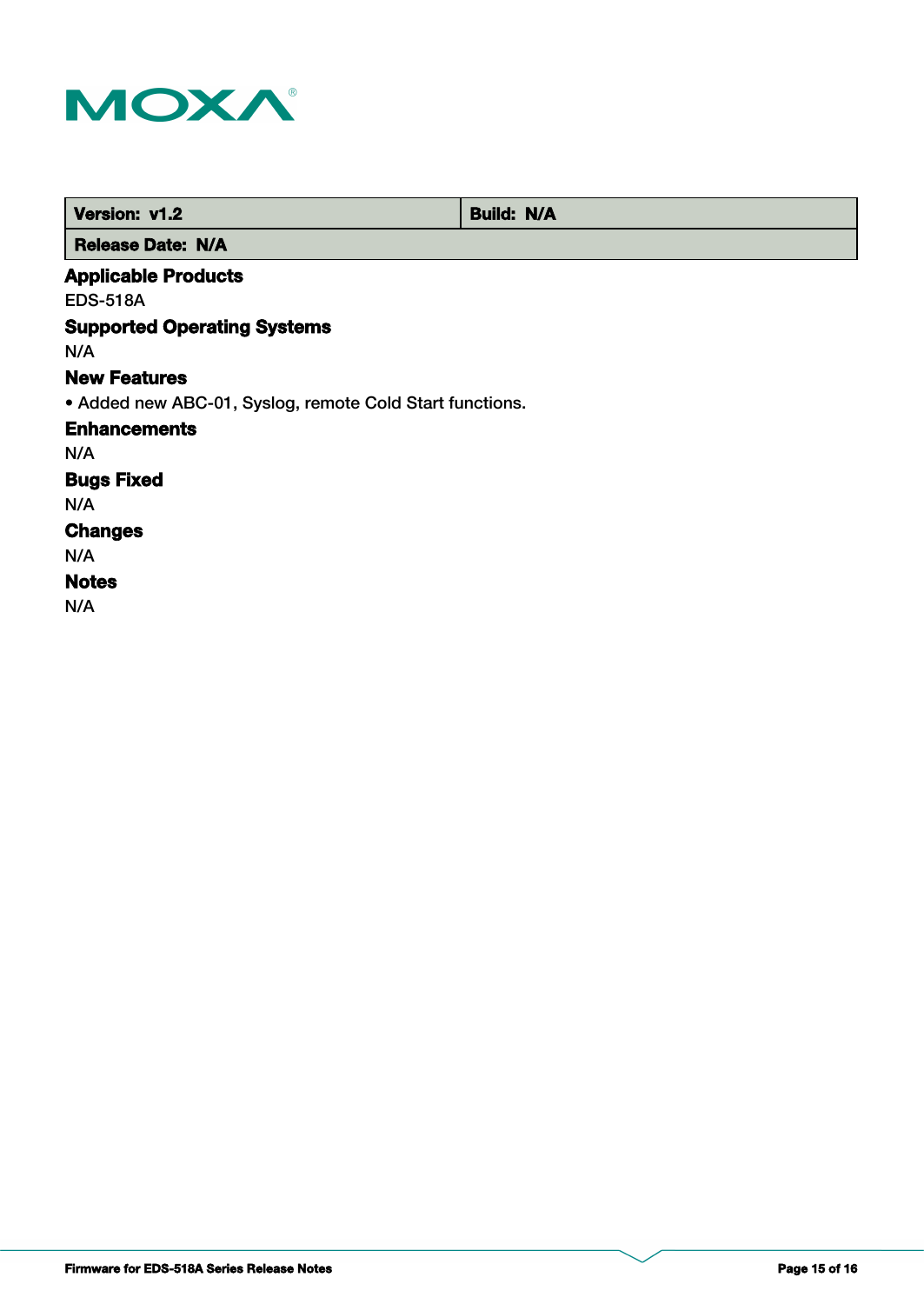

| <b>Version: v1.2</b>                                     | <b>Build: N/A</b> |
|----------------------------------------------------------|-------------------|
| <b>Release Date: N/A</b>                                 |                   |
| <b>Applicable Products</b>                               |                   |
| <b>EDS-518A</b>                                          |                   |
| <b>Supported Operating Systems</b>                       |                   |
| N/A                                                      |                   |
| <b>New Features</b>                                      |                   |
| • Added new ABC-01, Syslog, remote Cold Start functions. |                   |
| <b>Enhancements</b>                                      |                   |
| N/A                                                      |                   |
| <b>Bugs Fixed</b>                                        |                   |
| N/A                                                      |                   |
| <b>Changes</b>                                           |                   |
| N/A                                                      |                   |
| <b>Notes</b>                                             |                   |
| N/A                                                      |                   |
|                                                          |                   |

**Firmware for EDS-518A Series Release Notes Page 15 of 16**